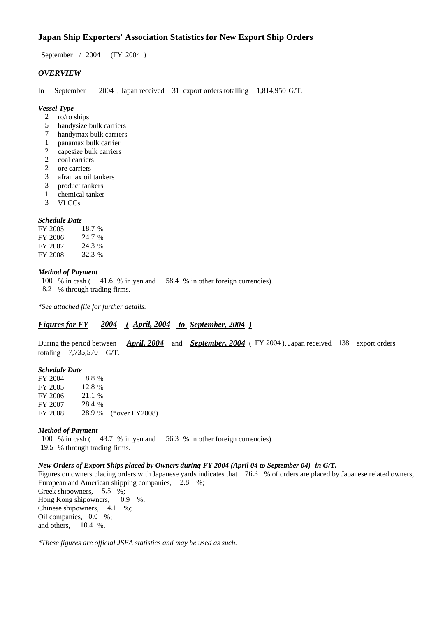# **Japan Ship Exporters' Association Statistics for New Export Ship Orders**

September / 2004 (FY 2004 )

## *OVERVIEW*

In September 2004 , Japan received 31 export orders totalling 1,814,950 G/T.

#### *Vessel Type*

- 2 ro/ro ships
- 5 handysize bulk carriers
- 7 handymax bulk carriers
- 1 panamax bulk carrier<br>2 capesize bulk carriers
- 2 capesize bulk carriers<br>2 coal carriers
- coal carriers
- 2 ore carriers
- 3 aframax oil tankers
- 3 product tankers
- 1 chemical tanker
- 3 VLCCs

#### *Schedule Date*

| FY 2005 | 18.7 % |
|---------|--------|
| FY 2006 | 24.7 % |
| FY 2007 | 24.3 % |
| FY 2008 | 32.3 % |

## *Method of Payment*

- 100 % in cash ( 41.6 % in yen and 58.4 % in other foreign currencies).
- 8.2 % through trading firms.

*\*See attached file for further details.*

# *Figures for FY 2004 ( April, 2004 to September, 2004 )*

During the period between *April, 2004* and *September, 2004* ( FY 2004 ), Japan received 138 export orders totaling 7,735,570 G/T.

## *Schedule Date*

FY 2004 8.8 % FY 2005 12.8 % FY 2006 21.1 % FY 2007 28.4 % FY 2008 28.9 % (\*over FY2008)

#### *Method of Payment*

100 % in cash ( 43.7 % in yen and 56.3 % in other foreign currencies). 19.5 % through trading firms.

## *New Orders of Export Ships placed by Owners during FY 2004 (April 04 to September 04) in G/T.*

Figures on owners placing orders with Japanese yards indicates that 76.3 % of orders are placed by Japanese related owners, European and American shipping companies, 2.8 %; Greek shipowners, 5.5 %; Hong Kong shipowners, 0.9 %; Chinese shipowners, 4.1 %; Oil companies, 0.0 %; and others, 10.4 %.

*\*These figures are official JSEA statistics and may be used as such.*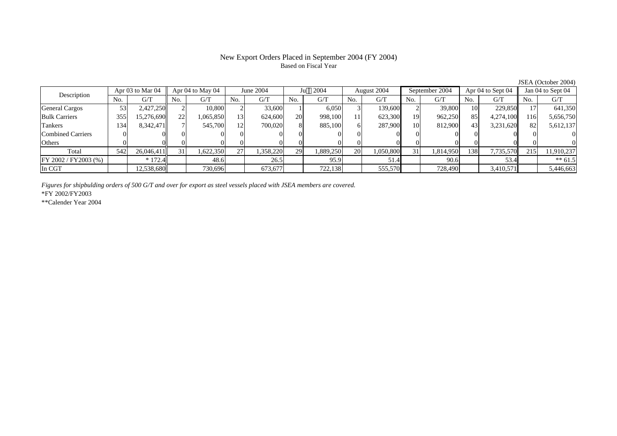# New Export Orders Placed in September 2004 (FY 2004) Based on Fiscal Year

|                          |     | Apr 03 to Mar 04 |     | Apr 04 to May 04 |     | June 2004 |     | 2004      |           | August 2004 |                 | September 2004 |                 | Apr 04 to Sept 04 |     | Jan 04 to Sept 04 |
|--------------------------|-----|------------------|-----|------------------|-----|-----------|-----|-----------|-----------|-------------|-----------------|----------------|-----------------|-------------------|-----|-------------------|
| Description              | No. | G/T              | No. | G/T              | No. | G/T       | No. | G/T       | No.       | G/T         | No.             | G/T            | No.             | G/T               | No. | G/T               |
| General Cargos           | 53  | 2,427,250        |     | 10.800           |     | 33,600    |     | 6,050     |           | 139.600     |                 | 39,800         | 10 <sup>1</sup> | 229,850           |     | 641,350           |
| <b>Bulk Carriers</b>     | 355 | 15,276,690       | 22  | 1,065,850        |     | 624,600   | 20  | 998.100   |           | 623,300     | 19              | 962,250        | 85              | 4,274,100         | 116 | 5,656,750         |
| <b>Tankers</b>           | 134 | 8,342,471        |     | 545,700          |     | 700,020   |     | 885,100   |           | 287,900     | 10 <sub>l</sub> | 812,900        | 43              | 3,231,620         | 82  | 5,612,137         |
| <b>Combined Carriers</b> |     |                  |     |                  |     |           |     |           |           |             |                 |                | $\Omega$        |                   |     |                   |
| Others                   |     |                  |     |                  |     |           |     |           |           |             |                 |                |                 |                   |     |                   |
| Total                    | 542 | 26,046,411       | 31  | 1,622,350        | 27  | .358,220  | 29  | 1,889,250 | <b>20</b> | 1,050,800   | 31              | 1,814,950      | 1381            | 7,735,570         | 215 | 11,910,237        |
| FY 2002 / FY2003 (%)     |     | $*172.4$         |     | 48.6             |     | 26.5      |     | 95.9      |           | 51.4        |                 | 90.6           |                 | 53.4              |     | $** 61.5$         |
| In CGT                   |     | 12,538,680       |     | 730,696          |     | 673,677   |     | 722,138   |           | 555,570     |                 | 728,490        |                 | 3,410,571         |     | 5,446,663         |

*Figures for shipbulding orders of 500 G/T and over for export as steel vessels placed with JSEA members are covered.*

\*FY 2002/FY2003

\*\*Calender Year 2004

JSEA (October 2004)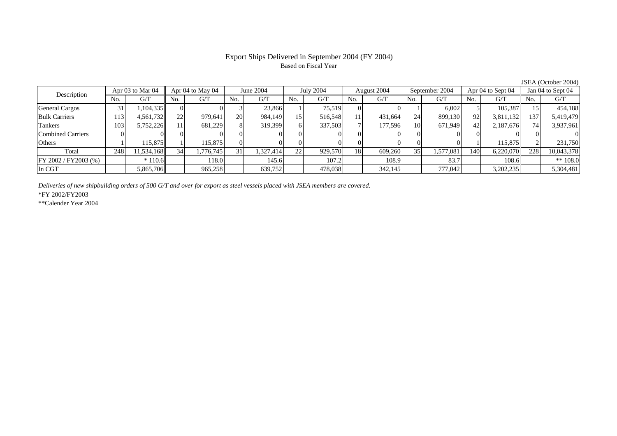## Export Ships Delivered in September 2004 (FY 2004) Based on Fiscal Year

Description Apr 03 to Mar 04 to May 04 June 2004 July 2004 August 2004 September 2004 Apr 04 to Sept 04 Jan 04 to Sept 04<br>No. 1 G/T No. 1 G/T No. 1 G/T No. 1 G/T No. 1 G/T No. 1 G/T No. 1 G/T No. 1 G/T No. 1 G/T No. 1 G/T No.  $G/T$  No. G/T No. G/T No. G/T No. G/T No. G/T No. G/T No. G/T General Cargos ( 31 1,104,335 0 0 0 3 23,866 1 75,519 0 0 1 6,002 5 105,387 15 454,188 Bulk Carriers 1133| 4,561,732|| 22| 979,641| 20| 984,149| 15| 516,548| 11| 431,664| 24| 899,130| 92| 3,811,132|| 137| 5,419,479 Tankers 1033| 5,752,226|| 11| 681,229| 8| 319,399| 6| 337,503| 7| 177,596| 10| 671,949| 42| 2,187,676|| 74| 3,937,961 Combined Carriers $\theta$  0 0 0 0 0 0 0 0 0 0 0 0 0 0 0 **Others** s and  $\vert$  1 1 115,875 1 115,875 0 0 0 0 0 0 0 0 0 1 115,875 2 231,750 Total 2488| 11,534,168|| 34| 1,776,745| 31| 1,327,414| 22| 929,570| 18| 609,260| 35| 1,577,081| 140| 6,220,070|| 228| 10,043,378 FY 2002 / FY2003 (%) \* 110.6 118.0 145.6 107.2 108.9 83.7 108.6 \*\* 108.0 In CGT5,865,706 965,258 639,752 478,038 342,145 777,042 3,202,235 5,304,481

*Deliveries of new shipbuilding orders of 500 G/T and over for export as steel vessels placed with JSEA members are covered.*

\*FY 2002/FY2003

\*\*Calender Year 2004

JSEA (October 2004)